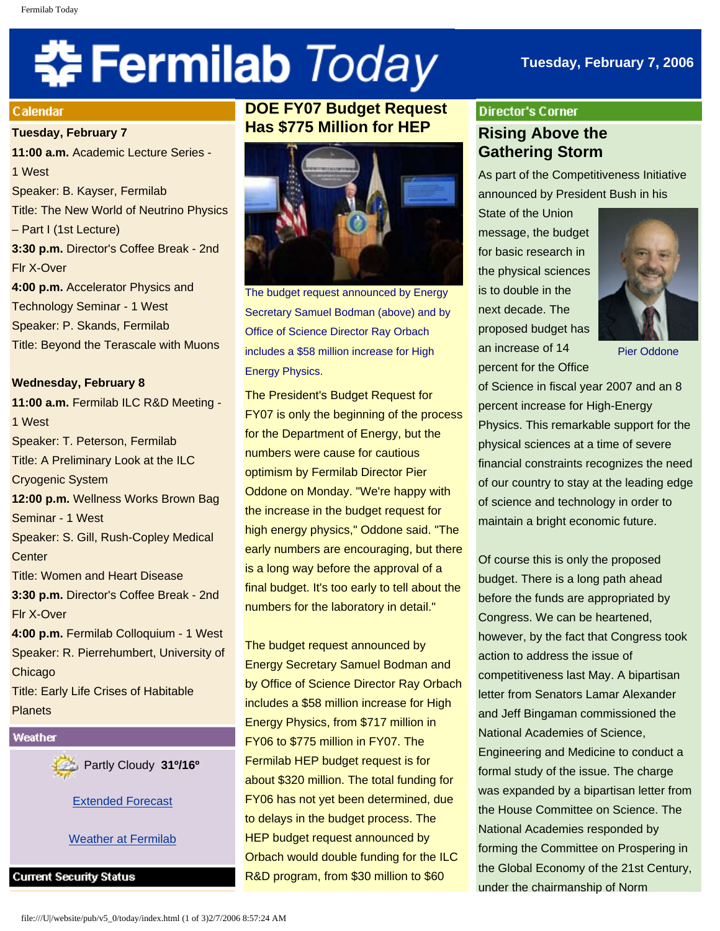# 축 Fermilab Today

# **Tuesday, February 7, 2006**

#### Calendar

**Tuesday, February 7**

**11:00 a.m.** Academic Lecture Series - 1 West Speaker: B. Kayser, Fermilab Title: The New World of Neutrino Physics – Part I (1st Lecture) **3:30 p.m.** Director's Coffee Break - 2nd Flr X-Over **4:00 p.m.** Accelerator Physics and Technology Seminar - 1 West Speaker: P. Skands, Fermilab Title: Beyond the Terascale with Muons

#### **Wednesday, February 8**

**11:00 a.m.** Fermilab ILC R&D Meeting - 1 West Speaker: T. Peterson, Fermilab Title: A Preliminary Look at the ILC Cryogenic System **12:00 p.m.** Wellness Works Brown Bag Seminar - 1 West Speaker: S. Gill, Rush-Copley Medical **Center** Title: Women and Heart Disease **3:30 p.m.** Director's Coffee Break - 2nd Flr X-Over **4:00 p.m.** Fermilab Colloquium - 1 West Speaker: R. Pierrehumbert, University of Chicago Title: Early Life Crises of Habitable **Planets** 

# Weather



[Extended Forecast](http://www.srh.noaa.gov/data/forecasts/ILZ012.php?warncounty=ILC089&city=Batavia)

[Weather at Fermilab](http://www-esh.fnal.gov/pls/default/weather.html) 

**Current Security Status** 

# **DOE FY07 Budget Request Has \$775 Million for HEP**



The budget request announced by Energy Secretary Samuel Bodman (above) and by Office of Science Director Ray Orbach includes a \$58 million increase for High Energy Physics.

The President's Budget Request for FY07 is only the beginning of the process for the Department of Energy, but the numbers were cause for cautious optimism by Fermilab Director Pier Oddone on Monday. "We're happy with the increase in the budget request for high energy physics," Oddone said. "The early numbers are encouraging, but there is a long way before the approval of a final budget. It's too early to tell about the numbers for the laboratory in detail."

The budget request announced by Energy Secretary Samuel Bodman and by Office of Science Director Ray Orbach includes a \$58 million increase for High Energy Physics, from \$717 million in FY06 to \$775 million in FY07. The Fermilab HEP budget request is for about \$320 million. The total funding for FY06 has not yet been determined, due to delays in the budget process. The HEP budget request announced by Orbach would double funding for the ILC R&D program, from \$30 million to \$60

# **Director's Corner Rising Above the Gathering Storm**

As part of the Competitiveness Initiative announced by President Bush in his

State of the Union message, the budget for basic research in the physical sciences is to double in the next decade. The proposed budget has an increase of 14 percent for the Office



Pier Oddone

of Science in fiscal year 2007 and an 8 percent increase for High-Energy Physics. This remarkable support for the physical sciences at a time of severe financial constraints recognizes the need of our country to stay at the leading edge of science and technology in order to maintain a bright economic future.

Of course this is only the proposed budget. There is a long path ahead before the funds are appropriated by Congress. We can be heartened, however, by the fact that Congress took action to address the issue of competitiveness last May. A bipartisan letter from Senators Lamar Alexander and Jeff Bingaman commissioned the National Academies of Science, Engineering and Medicine to conduct a formal study of the issue. The charge was expanded by a bipartisan letter from the House Committee on Science. The National Academies responded by forming the Committee on Prospering in the Global Economy of the 21st Century, under the chairmanship of Norm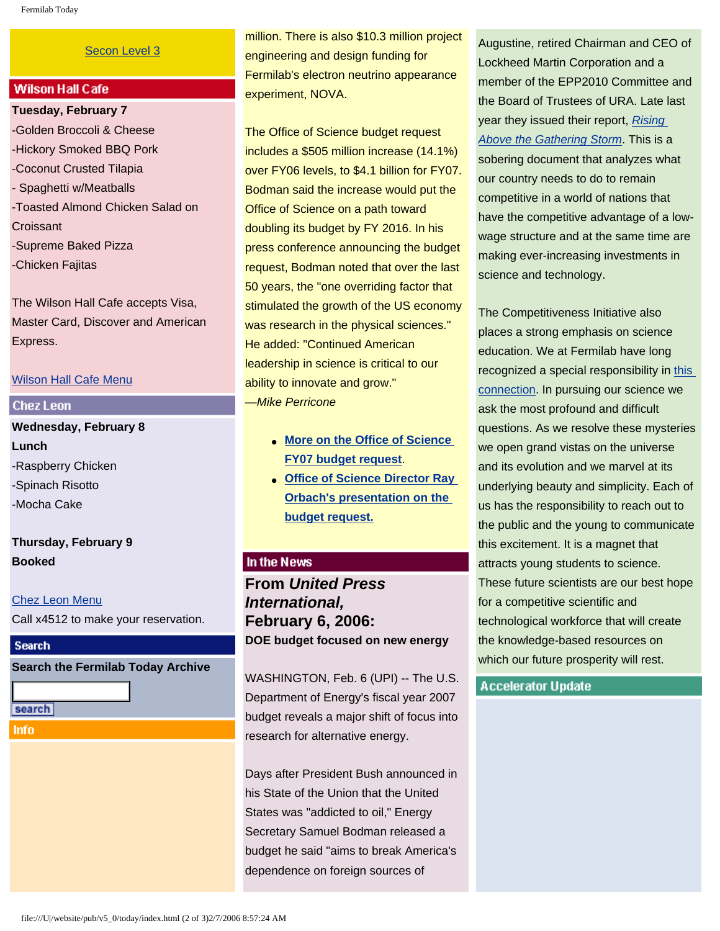#### [Secon Level 3](http://www.fnal.gov/pub/about/public_affairs/currentstatus.html)

#### **Wilson Hall Cafe**

**Tuesday, February 7** -Golden Broccoli & Cheese -Hickory Smoked BBQ Pork -Coconut Crusted Tilapia - Spaghetti w/Meatballs -Toasted Almond Chicken Salad on **Croissant** -Supreme Baked Pizza -Chicken Fajitas

The Wilson Hall Cafe accepts Visa, Master Card, Discover and American Express.

#### [Wilson Hall Cafe Menu](http://lss.fnal.gov/cafe/)

#### **Chez Leon**

**Wednesday, February 8 Lunch** -Raspberry Chicken -Spinach Risotto -Mocha Cake

# **Thursday, February 9 Booked**

[Chez Leon Menu](http://lss.fnal.gov/chezleon/index.html) Call x4512 to make your reservation.

#### **Search**

**Search the Fermilab Today Archive**

search

**Info** 

million. There is also \$10.3 million project engineering and design funding for Fermilab's electron neutrino appearance experiment, NOVA.

The Office of Science budget request includes a \$505 million increase (14.1%) over FY06 levels, to \$4.1 billion for FY07. Bodman said the increase would put the Office of Science on a path toward doubling its budget by FY 2016. In his press conference announcing the budget request, Bodman noted that over the last 50 years, the "one overriding factor that stimulated the growth of the US economy was research in the physical sciences." He added: "Continued American leadership in science is critical to our ability to innovate and grow." —*Mike Perricone*

- **[More on the Office of Science](http://www.energy.gov/news/3148.htm)  [FY07 budget request](http://www.energy.gov/news/3148.htm)**.
- **[Office of Science Director Ray](http://www.sc.doe.gov/Sub/Newsroom/News_Releases/DOE-SC/2006/budget/2-6%20-%20Master%20FY%2007%20final.pdf)  [Orbach's presentation on the](http://www.sc.doe.gov/Sub/Newsroom/News_Releases/DOE-SC/2006/budget/2-6%20-%20Master%20FY%2007%20final.pdf)  [budget request.](http://www.sc.doe.gov/Sub/Newsroom/News_Releases/DOE-SC/2006/budget/2-6%20-%20Master%20FY%2007%20final.pdf)**

# In the News

**From** *United Press International,* **February 6, 2006: DOE budget focused on new energy**

WASHINGTON, Feb. 6 (UPI) -- The U.S. Department of Energy's fiscal year 2007 budget reveals a major shift of focus into research for alternative energy.

Days after President Bush announced in his State of the Union that the United States was "addicted to oil," Energy Secretary Samuel Bodman released a budget he said "aims to break America's dependence on foreign sources of

Augustine, retired Chairman and CEO of Lockheed Martin Corporation and a member of the EPP2010 Committee and the Board of Trustees of URA. Late last year they issued their report, *[Rising](http://books.nap.edu/catalog/11463.html)  [Above the Gathering Storm](http://books.nap.edu/catalog/11463.html)*. This is a sobering document that analyzes what our country needs to do to remain competitive in a world of nations that have the competitive advantage of a lowwage structure and at the same time are making ever-increasing investments in science and technology.

The Competitiveness Initiative also places a strong emphasis on science education. We at Fermilab have long recognized a special responsibility in [this](http://www-ed.fnal.gov/ed_lsc.html) [connection.](http://www-ed.fnal.gov/ed_lsc.html) In pursuing our science we ask the most profound and difficult questions. As we resolve these mysteries we open grand vistas on the universe and its evolution and we marvel at its underlying beauty and simplicity. Each of us has the responsibility to reach out to the public and the young to communicate this excitement. It is a magnet that attracts young students to science. These future scientists are our best hope for a competitive scientific and technological workforce that will create the knowledge-based resources on which our future prosperity will rest.

#### **Accelerator Update**